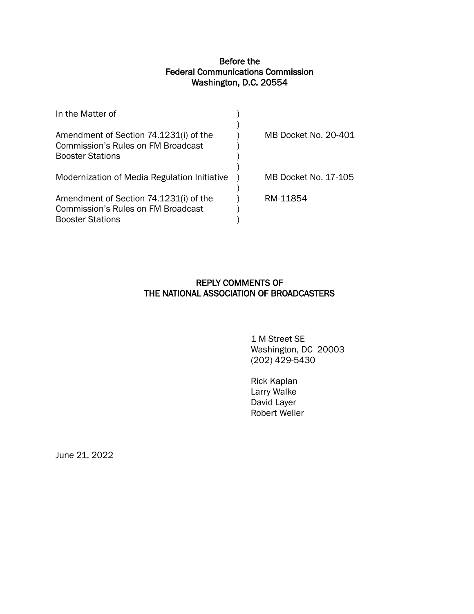## Before the Federal Communications Commission Washington, D.C. 20554

| In the Matter of                                                                                               |                      |
|----------------------------------------------------------------------------------------------------------------|----------------------|
| Amendment of Section 74.1231(i) of the<br><b>Commission's Rules on FM Broadcast</b><br><b>Booster Stations</b> | MB Docket No. 20-401 |
| Modernization of Media Regulation Initiative                                                                   | MB Docket No. 17-105 |
| Amendment of Section 74.1231(i) of the<br><b>Commission's Rules on FM Broadcast</b><br><b>Booster Stations</b> | RM-11854             |

## REPLY COMMENTS OF THE NATIONAL ASSOCIATION OF BROADCASTERS

 1 M Street SE Washington, DC 20003 (202) 429-5430

Rick Kaplan Larry Walke David Layer Robert Weller

June 21, 2022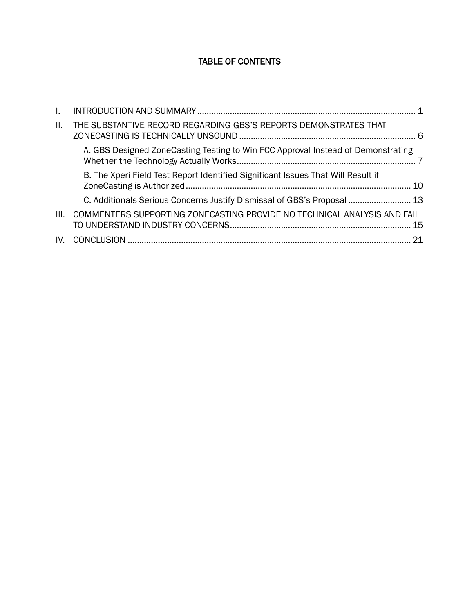# TABLE OF CONTENTS

| $\mathbf{L}$ |                                                                                  |  |
|--------------|----------------------------------------------------------------------------------|--|
| Ш.           | THE SUBSTANTIVE RECORD REGARDING GBS'S REPORTS DEMONSTRATES THAT                 |  |
|              | A. GBS Designed ZoneCasting Testing to Win FCC Approval Instead of Demonstrating |  |
|              | B. The Xperi Field Test Report Identified Significant Issues That Will Result if |  |
|              | C. Additionals Serious Concerns Justify Dismissal of GBS's Proposal  13          |  |
| III.         | COMMENTERS SUPPORTING ZONECASTING PROVIDE NO TECHNICAL ANALYSIS AND FAIL         |  |
| IV.          |                                                                                  |  |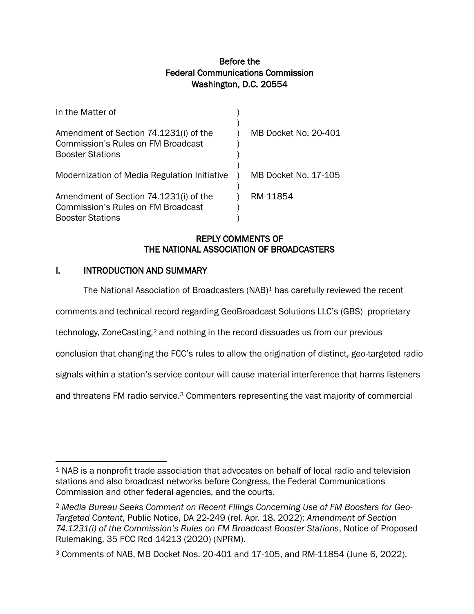## Before the Federal Communications Commission Washington, D.C. 20554

| In the Matter of                                                                                               |                      |
|----------------------------------------------------------------------------------------------------------------|----------------------|
| Amendment of Section 74.1231(i) of the<br><b>Commission's Rules on FM Broadcast</b><br><b>Booster Stations</b> | MB Docket No. 20-401 |
| Modernization of Media Regulation Initiative                                                                   | MB Docket No. 17-105 |
| Amendment of Section 74.1231(i) of the<br>Commission's Rules on FM Broadcast<br><b>Booster Stations</b>        | RM-11854             |

## REPLY COMMENTS OF THE NATIONAL ASSOCIATION OF BROADCASTERS

### <span id="page-2-0"></span>I. INTRODUCTION AND SUMMARY

The National Association of Broadcasters (NAB)<sup>1</sup> has carefully reviewed the recent

comments and technical record regarding GeoBroadcast Solutions LLC's (GBS) proprietary

technology, ZoneCasting,<sup>2</sup> and nothing in the record dissuades us from our previous

conclusion that changing the FCC's rules to allow the origination of distinct, geo-targeted radio

signals within a station's service contour will cause material interference that harms listeners

and threatens FM radio service.<sup>3</sup> Commenters representing the vast majority of commercial

<sup>1</sup> NAB is a nonprofit trade association that advocates on behalf of local radio and television stations and also broadcast networks before Congress, the Federal Communications Commission and other federal agencies, and the courts.

<sup>2</sup> *Media Bureau Seeks Comment on Recent Filings Concerning Use of FM Boosters for Geo-Targeted Content*, Public Notice, DA 22-249 (rel. Apr. 18, 2022); *Amendment of Section 74.1231(i) of the Commission's Rules on FM Broadcast Booster Stations*, Notice of Proposed Rulemaking, 35 FCC Rcd 14213 (2020) (NPRM).

<sup>3</sup> Comments of NAB, MB Docket Nos. 20-401 and 17-105, and RM-11854 (June 6, 2022).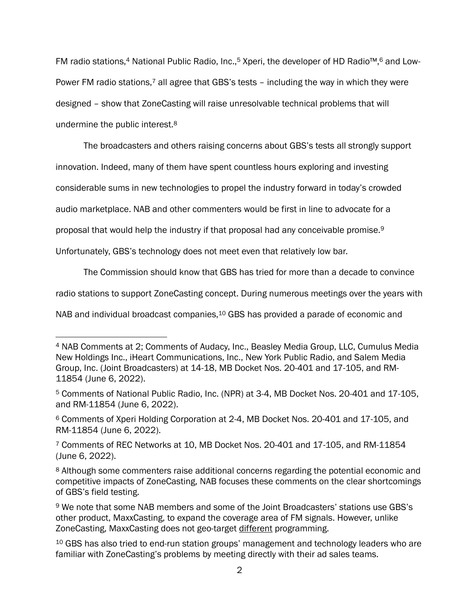FM radio stations,<sup>4</sup> National Public Radio, Inc.,<sup>5</sup> Xperi, the developer of HD Radio<sup>™,6</sup> and Low-Power FM radio stations,<sup>7</sup> all agree that GBS's tests - including the way in which they were designed – show that ZoneCasting will raise unresolvable technical problems that will undermine the public interest.<sup>8</sup>

The broadcasters and others raising concerns about GBS's tests all strongly support

innovation. Indeed, many of them have spent countless hours exploring and investing

considerable sums in new technologies to propel the industry forward in today's crowded

audio marketplace. NAB and other commenters would be first in line to advocate for a

proposal that would help the industry if that proposal had any conceivable promise. 9

Unfortunately, GBS's technology does not meet even that relatively low bar.

The Commission should know that GBS has tried for more than a decade to convince

radio stations to support ZoneCasting concept. During numerous meetings over the years with

NAB and individual broadcast companies,<sup>10</sup> GBS has provided a parade of economic and

<sup>4</sup> NAB Comments at 2; Comments of Audacy, Inc., Beasley Media Group, LLC, Cumulus Media New Holdings Inc., iHeart Communications, Inc., New York Public Radio, and Salem Media Group, Inc. (Joint Broadcasters) at 14-18, MB Docket Nos. 20-401 and 17-105, and RM-11854 (June 6, 2022).

<sup>5</sup> Comments of National Public Radio, Inc. (NPR) at 3-4, MB Docket Nos. 20-401 and 17-105, and RM-11854 (June 6, 2022).

<sup>6</sup> Comments of Xperi Holding Corporation at 2-4, MB Docket Nos. 20-401 and 17-105, and RM-11854 (June 6, 2022).

<sup>7</sup> Comments of REC Networks at 10, MB Docket Nos. 20-401 and 17-105, and RM-11854 (June 6, 2022).

<sup>8</sup> Although some commenters raise additional concerns regarding the potential economic and competitive impacts of ZoneCasting, NAB focuses these comments on the clear shortcomings of GBS's field testing.

<sup>9</sup> We note that some NAB members and some of the Joint Broadcasters' stations use GBS's other product, MaxxCasting, to expand the coverage area of FM signals. However, unlike ZoneCasting, MaxxCasting does not geo-target different programming.

<sup>10</sup> GBS has also tried to end-run station groups' management and technology leaders who are familiar with ZoneCasting's problems by meeting directly with their ad sales teams.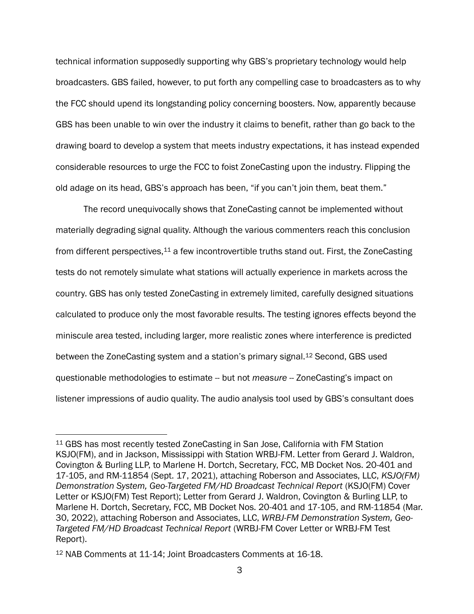technical information supposedly supporting why GBS's proprietary technology would help broadcasters. GBS failed, however, to put forth any compelling case to broadcasters as to why the FCC should upend its longstanding policy concerning boosters. Now, apparently because GBS has been unable to win over the industry it claims to benefit, rather than go back to the drawing board to develop a system that meets industry expectations, it has instead expended considerable resources to urge the FCC to foist ZoneCasting upon the industry. Flipping the old adage on its head, GBS's approach has been, "if you can't join them, beat them."

The record unequivocally shows that ZoneCasting cannot be implemented without materially degrading signal quality. Although the various commenters reach this conclusion from different perspectives,<sup>11</sup> a few incontrovertible truths stand out. First, the ZoneCasting tests do not remotely simulate what stations will actually experience in markets across the country. GBS has only tested ZoneCasting in extremely limited, carefully designed situations calculated to produce only the most favorable results. The testing ignores effects beyond the miniscule area tested, including larger, more realistic zones where interference is predicted between the ZoneCasting system and a station's primary signal.<sup>12</sup> Second, GBS used questionable methodologies to estimate -- but not *measure* -- ZoneCasting's impact on listener impressions of audio quality. The audio analysis tool used by GBS's consultant does

<sup>11</sup> GBS has most recently tested ZoneCasting in San Jose, California with FM Station KSJO(FM), and in Jackson, Mississippi with Station WRBJ-FM. Letter from Gerard J. Waldron, Covington & Burling LLP, to Marlene H. Dortch, Secretary, FCC, MB Docket Nos. 20-401 and 17-105, and RM-11854 (Sept. 17, 2021), attaching Roberson and Associates, LLC, *KSJO(FM) Demonstration System, Geo-Targeted FM/HD Broadcast Technical Report* (KSJO(FM) Cover Letter or KSJO(FM) Test Report); Letter from Gerard J. Waldron, Covington & Burling LLP, to Marlene H. Dortch, Secretary, FCC, MB Docket Nos. 20-401 and 17-105, and RM-11854 (Mar. 30, 2022), attaching Roberson and Associates, LLC, *WRBJ-FM Demonstration System, Geo-Targeted FM/HD Broadcast Technical Report* (WRBJ-FM Cover Letter or WRBJ-FM Test Report).

<sup>12</sup> NAB Comments at 11-14; Joint Broadcasters Comments at 16-18.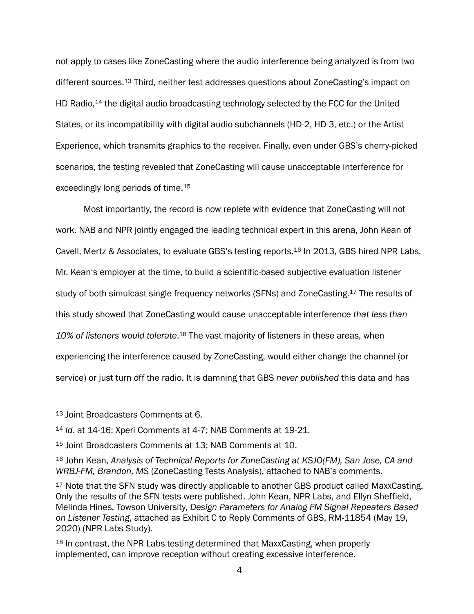not apply to cases like ZoneCasting where the audio interference being analyzed is from two different sources.<sup>13</sup> Third, neither test addresses questions about ZoneCasting's impact on HD Radio,<sup>14</sup> the digital audio broadcasting technology selected by the FCC for the United States, or its incompatibility with digital audio subchannels (HD-2, HD-3, etc.) or the Artist Experience, which transmits graphics to the receiver. Finally, even under GBS's cherry-picked scenarios, the testing revealed that ZoneCasting will cause unacceptable interference for exceedingly long periods of time.<sup>15</sup>

Most importantly, the record is now replete with evidence that ZoneCasting will not work. NAB and NPR jointly engaged the leading technical expert in this arena, John Kean of Cavell, Mertz & Associates, to evaluate GBS's testing reports.<sup>16</sup> In 2013, GBS hired NPR Labs, Mr. Kean's employer at the time, to build a scientific-based subjective evaluation listener study of both simulcast single frequency networks (SFNs) and ZoneCasting.<sup>17</sup> The results of this study showed that ZoneCasting would cause unacceptable interference *that less than*  10% of listeners would tolerate.<sup>18</sup> The vast majority of listeners in these areas, when experiencing the interference caused by ZoneCasting, would either change the channel (or service) or just turn off the radio. It is damning that GBS *never published* this data and has

<sup>13</sup> Joint Broadcasters Comments at 6.

<sup>14</sup> *Id*. at 14-16; Xperi Comments at 4-7; NAB Comments at 19-21.

<sup>15</sup> Joint Broadcasters Comments at 13; NAB Comments at 10.

<sup>16</sup> John Kean, *Analysis of Technical Reports for ZoneCasting at KSJO(FM), San Jose, CA and WRBJ-FM, Brandon, MS* (ZoneCasting Tests Analysis), attached to NAB's comments.

<sup>&</sup>lt;sup>17</sup> Note that the SFN study was directly applicable to another GBS product called MaxxCasting. Only the results of the SFN tests were published. John Kean, NPR Labs, and Ellyn Sheffield, Melinda Hines, Towson University, *Design Parameters for Analog FM Signal Repeaters Based on Listener Testing*, attached as Exhibit C to Reply Comments of GBS, RM-11854 (May 19, 2020) (NPR Labs Study).

<sup>18</sup> In contrast, the NPR Labs testing determined that MaxxCasting, when properly implemented, can improve reception without creating excessive interference.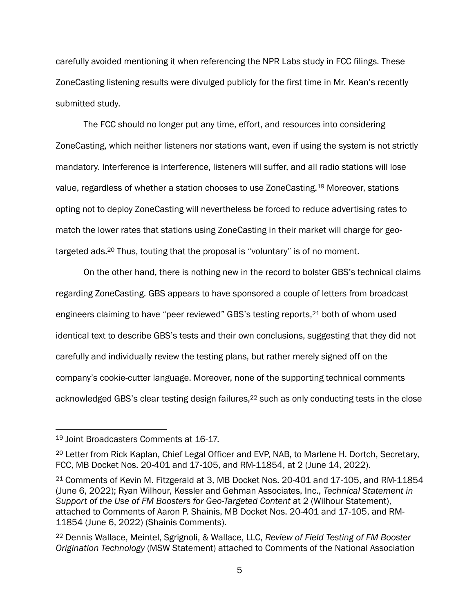carefully avoided mentioning it when referencing the NPR Labs study in FCC filings. These ZoneCasting listening results were divulged publicly for the first time in Mr. Kean's recently submitted study.

The FCC should no longer put any time, effort, and resources into considering ZoneCasting, which neither listeners nor stations want, even if using the system is not strictly mandatory. Interference is interference, listeners will suffer, and all radio stations will lose value, regardless of whether a station chooses to use ZoneCasting.<sup>19</sup> Moreover, stations opting not to deploy ZoneCasting will nevertheless be forced to reduce advertising rates to match the lower rates that stations using ZoneCasting in their market will charge for geotargeted ads.<sup>20</sup> Thus, touting that the proposal is "voluntary" is of no moment.

On the other hand, there is nothing new in the record to bolster GBS's technical claims regarding ZoneCasting. GBS appears to have sponsored a couple of letters from broadcast engineers claiming to have "peer reviewed" GBS's testing reports,<sup>21</sup> both of whom used identical text to describe GBS's tests and their own conclusions, suggesting that they did not carefully and individually review the testing plans, but rather merely signed off on the company's cookie-cutter language. Moreover, none of the supporting technical comments acknowledged GBS's clear testing design failures, <sup>22</sup> such as only conducting tests in the close

<sup>19</sup> Joint Broadcasters Comments at 16-17.

<sup>&</sup>lt;sup>20</sup> Letter from Rick Kaplan, Chief Legal Officer and EVP, NAB, to Marlene H. Dortch, Secretary, FCC, MB Docket Nos. 20-401 and 17-105, and RM-11854, at 2 (June 14, 2022).

<sup>21</sup> Comments of Kevin M. Fitzgerald at 3, MB Docket Nos. 20-401 and 17-105, and RM-11854 (June 6, 2022); Ryan Wilhour, Kessler and Gehman Associates, Inc., *Technical Statement in Support of the Use of FM Boosters for Geo-Targeted Content* at 2 (Wilhour Statement), attached to Comments of Aaron P. Shainis, MB Docket Nos. 20-401 and 17-105, and RM-11854 (June 6, 2022) (Shainis Comments).

<sup>22</sup> Dennis Wallace, Meintel, Sgrignoli, & Wallace, LLC, *Review of Field Testing of FM Booster Origination Technology* (MSW Statement) attached to Comments of the National Association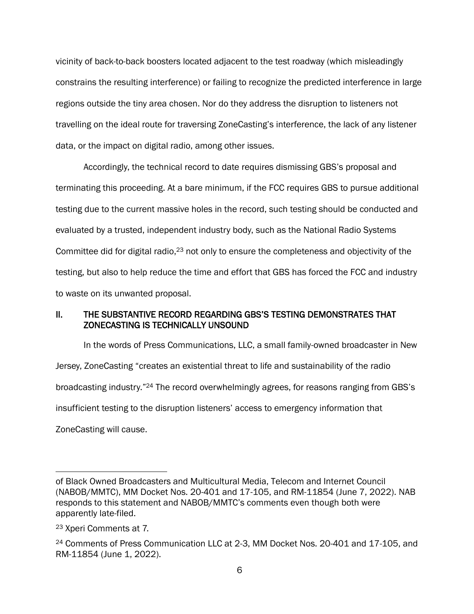vicinity of back-to-back boosters located adjacent to the test roadway (which misleadingly constrains the resulting interference) or failing to recognize the predicted interference in large regions outside the tiny area chosen. Nor do they address the disruption to listeners not travelling on the ideal route for traversing ZoneCasting's interference, the lack of any listener data, or the impact on digital radio, among other issues.

Accordingly, the technical record to date requires dismissing GBS's proposal and terminating this proceeding. At a bare minimum, if the FCC requires GBS to pursue additional testing due to the current massive holes in the record, such testing should be conducted and evaluated by a trusted, independent industry body, such as the National Radio Systems Committee did for digital radio,<sup>23</sup> not only to ensure the completeness and objectivity of the testing, but also to help reduce the time and effort that GBS has forced the FCC and industry to waste on its unwanted proposal.

### II. THE SUBSTANTIVE RECORD REGARDING GBS'S TESTING DEMONSTRATES THAT ZONECASTING IS TECHNICALLY UNSOUND

In the words of Press Communications, LLC, a small family-owned broadcaster in New Jersey, ZoneCasting "creates an existential threat to life and sustainability of the radio broadcasting industry." <sup>24</sup> The record overwhelmingly agrees, for reasons ranging from GBS's insufficient testing to the disruption listeners' access to emergency information that ZoneCasting will cause.

of Black Owned Broadcasters and Multicultural Media, Telecom and Internet Council (NABOB/MMTC), MM Docket Nos. 20-401 and 17-105, and RM-11854 (June 7, 2022). NAB responds to this statement and NABOB/MMTC's comments even though both were apparently late-filed.

<sup>23</sup> Xperi Comments at 7.

<sup>24</sup> Comments of Press Communication LLC at 2-3, MM Docket Nos. 20-401 and 17-105, and RM-11854 (June 1, 2022).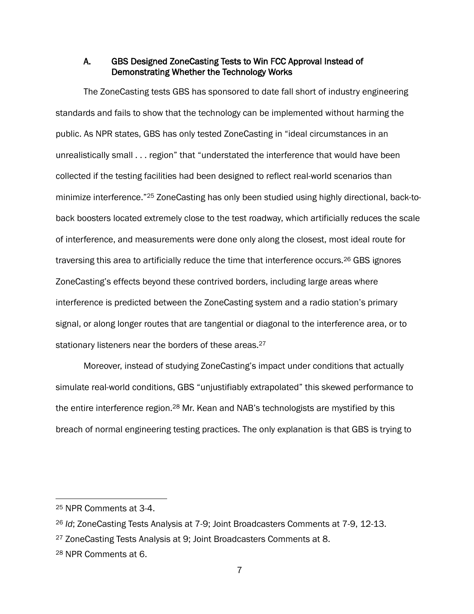### A. GBS Designed ZoneCasting Tests to Win FCC Approval Instead of Demonstrating Whether the Technology Works

The ZoneCasting tests GBS has sponsored to date fall short of industry engineering standards and fails to show that the technology can be implemented without harming the public. As NPR states, GBS has only tested ZoneCasting in "ideal circumstances in an unrealistically small . . . region" that "understated the interference that would have been collected if the testing facilities had been designed to reflect real-world scenarios than minimize interference."<sup>25</sup> ZoneCasting has only been studied using highly directional, back-toback boosters located extremely close to the test roadway, which artificially reduces the scale of interference, and measurements were done only along the closest, most ideal route for traversing this area to artificially reduce the time that interference occurs.<sup>26</sup> GBS ignores ZoneCasting's effects beyond these contrived borders, including large areas where interference is predicted between the ZoneCasting system and a radio station's primary signal, or along longer routes that are tangential or diagonal to the interference area, or to stationary listeners near the borders of these areas.<sup>27</sup>

Moreover, instead of studying ZoneCasting's impact under conditions that actually simulate real-world conditions, GBS "unjustifiably extrapolated" this skewed performance to the entire interference region.<sup>28</sup> Mr. Kean and NAB's technologists are mystified by this breach of normal engineering testing practices. The only explanation is that GBS is trying to

<sup>25</sup> NPR Comments at 3-4.

<sup>26</sup> *Id*; ZoneCasting Tests Analysis at 7-9; Joint Broadcasters Comments at 7-9, 12-13.

<sup>27</sup> ZoneCasting Tests Analysis at 9; Joint Broadcasters Comments at 8.

<sup>28</sup> NPR Comments at 6.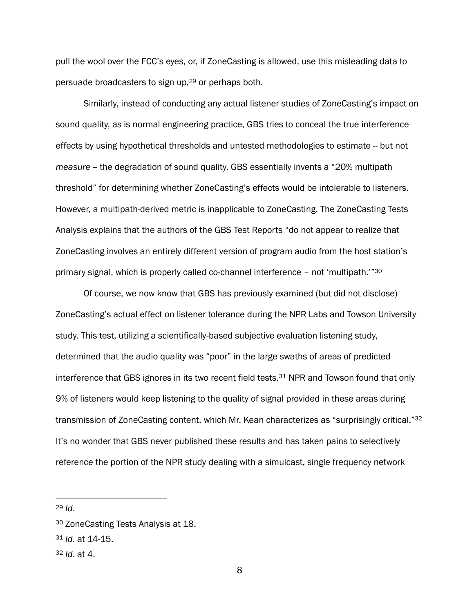pull the wool over the FCC's eyes, or, if ZoneCasting is allowed, use this misleading data to persuade broadcasters to sign up, <sup>29</sup> or perhaps both.

Similarly, instead of conducting any actual listener studies of ZoneCasting's impact on sound quality, as is normal engineering practice, GBS tries to conceal the true interference effects by using hypothetical thresholds and untested methodologies to estimate -- but not *measure* -- the degradation of sound quality. GBS essentially invents a "20% multipath threshold" for determining whether ZoneCasting's effects would be intolerable to listeners. However, a multipath-derived metric is inapplicable to ZoneCasting. The ZoneCasting Tests Analysis explains that the authors of the GBS Test Reports "do not appear to realize that ZoneCasting involves an entirely different version of program audio from the host station's primary signal, which is properly called co-channel interference – not 'multipath.'" 30

Of course, we now know that GBS has previously examined (but did not disclose) ZoneCasting's actual effect on listener tolerance during the NPR Labs and Towson University study. This test, utilizing a scientifically-based subjective evaluation listening study, determined that the audio quality was "poor" in the large swaths of areas of predicted interference that GBS ignores in its two recent field tests.<sup>31</sup> NPR and Towson found that only 9% of listeners would keep listening to the quality of signal provided in these areas during transmission of ZoneCasting content, which Mr. Kean characterizes as "surprisingly critical."<sup>32</sup> It's no wonder that GBS never published these results and has taken pains to selectively reference the portion of the NPR study dealing with a simulcast, single frequency network

<sup>29</sup> *Id*.

<sup>32</sup> *Id*. at 4.

<sup>30</sup> ZoneCasting Tests Analysis at 18.

<sup>31</sup> *Id*. at 14-15.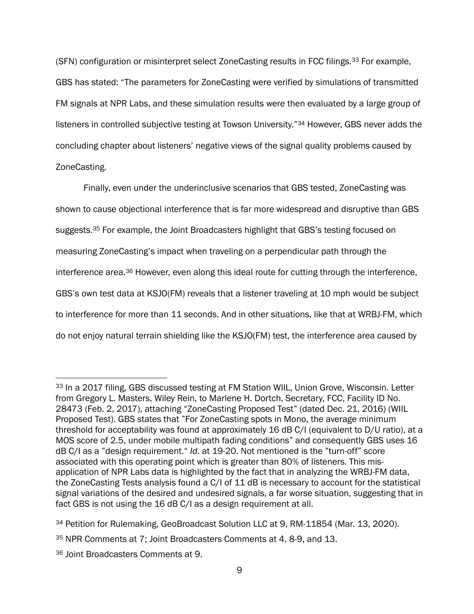(SFN) configuration or misinterpret select ZoneCasting results in FCC filings.<sup>33</sup> For example, GBS has stated: "The parameters for ZoneCasting were verified by simulations of transmitted FM signals at NPR Labs, and these simulation results were then evaluated by a large group of listeners in controlled subjective testing at Towson University."<sup>34</sup> However, GBS never adds the concluding chapter about listeners' negative views of the signal quality problems caused by ZoneCasting.

Finally, even under the underinclusive scenarios that GBS tested, ZoneCasting was shown to cause objectional interference that is far more widespread and disruptive than GBS suggests.<sup>35</sup> For example, the Joint Broadcasters highlight that GBS's testing focused on measuring ZoneCasting's impact when traveling on a perpendicular path through the interference area.<sup>36</sup> However, even along this ideal route for cutting through the interference, GBS's own test data at KSJO(FM) reveals that a listener traveling at 10 mph would be subject to interference for more than 11 seconds. And in other situations, like that at WRBJ-FM, which do not enjoy natural terrain shielding like the KSJO(FM) test, the interference area caused by

<sup>33</sup> In a 2017 filing, GBS discussed testing at FM Station WIIL, Union Grove, Wisconsin. Letter from Gregory L. Masters, Wiley Rein, to Marlene H. Dortch, Secretary, FCC, Facility ID No. 28473 (Feb. 2, 2017), attaching "ZoneCasting Proposed Test" (dated Dec. 21, 2016) (WIIL Proposed Test). GBS states that "For ZoneCasting spots in Mono, the average minimum threshold for acceptability was found at approximately 16 dB C/I (equivalent to D/U ratio), at a MOS score of 2.5, under mobile multipath fading conditions" and consequently GBS uses 16 dB C/I as a "design requirement." *Id*. at 19-20. Not mentioned is the "turn-off" score associated with this operating point which is greater than 80% of listeners. This misapplication of NPR Labs data is highlighted by the fact that in analyzing the WRBJ-FM data, the ZoneCasting Tests analysis found a C/I of 11 dB is necessary to account for the statistical signal variations of the desired and undesired signals, a far worse situation, suggesting that in fact GBS is not using the 16 dB C/I as a design requirement at all.

<sup>34</sup> Petition for Rulemaking, GeoBroadcast Solution LLC at 9, RM-11854 (Mar. 13, 2020).

<sup>35</sup> NPR Comments at 7; Joint Broadcasters Comments at 4, 8-9, and 13.

<sup>36</sup> Joint Broadcasters Comments at 9.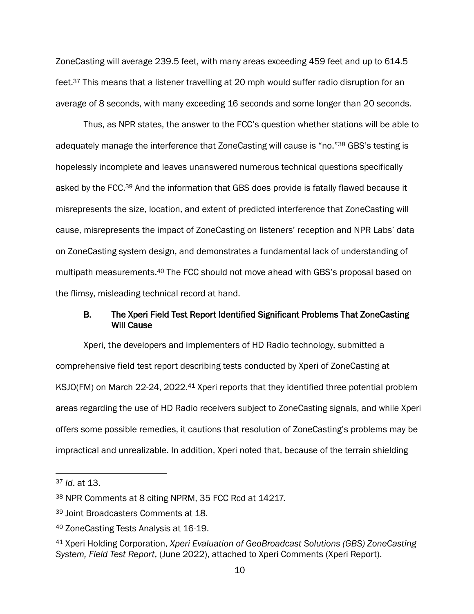ZoneCasting will average 239.5 feet, with many areas exceeding 459 feet and up to 614.5 feet.<sup>37</sup> This means that a listener travelling at 20 mph would suffer radio disruption for an average of 8 seconds, with many exceeding 16 seconds and some longer than 20 seconds.

Thus, as NPR states, the answer to the FCC's question whether stations will be able to adequately manage the interference that ZoneCasting will cause is "no."<sup>38</sup> GBS's testing is hopelessly incomplete and leaves unanswered numerous technical questions specifically asked by the FCC.<sup>39</sup> And the information that GBS does provide is fatally flawed because it misrepresents the size, location, and extent of predicted interference that ZoneCasting will cause, misrepresents the impact of ZoneCasting on listeners' reception and NPR Labs' data on ZoneCasting system design, and demonstrates a fundamental lack of understanding of multipath measurements.<sup>40</sup> The FCC should not move ahead with GBS's proposal based on the flimsy, misleading technical record at hand.

### B. The Xperi Field Test Report Identified Significant Problems That ZoneCasting Will Cause

Xperi, the developers and implementers of HD Radio technology, submitted a comprehensive field test report describing tests conducted by Xperi of ZoneCasting at KSJO(FM) on March 22-24, 2022.<sup>41</sup> Xperi reports that they identified three potential problem areas regarding the use of HD Radio receivers subject to ZoneCasting signals, and while Xperi offers some possible remedies, it cautions that resolution of ZoneCasting's problems may be impractical and unrealizable. In addition, Xperi noted that, because of the terrain shielding

<sup>37</sup> *Id*. at 13.

<sup>38</sup> NPR Comments at 8 citing NPRM, 35 FCC Rcd at 14217.

<sup>39</sup> Joint Broadcasters Comments at 18.

<sup>40</sup> ZoneCasting Tests Analysis at 16-19.

<sup>41</sup> Xperi Holding Corporation, *Xperi Evaluation of GeoBroadcast Solutions (GBS) ZoneCasting System, Field Test Report*, (June 2022), attached to Xperi Comments (Xperi Report).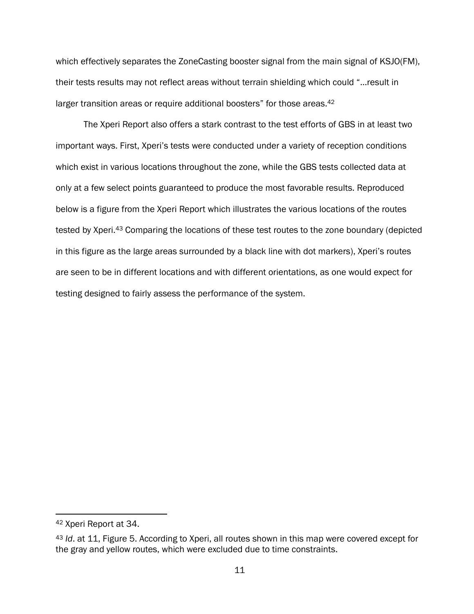which effectively separates the ZoneCasting booster signal from the main signal of KSJO(FM), their tests results may not reflect areas without terrain shielding which could "…result in larger transition areas or require additional boosters" for those areas.<sup>42</sup>

The Xperi Report also offers a stark contrast to the test efforts of GBS in at least two important ways. First, Xperi's tests were conducted under a variety of reception conditions which exist in various locations throughout the zone, while the GBS tests collected data at only at a few select points guaranteed to produce the most favorable results. Reproduced below is a figure from the Xperi Report which illustrates the various locations of the routes tested by Xperi.<sup>43</sup> Comparing the locations of these test routes to the zone boundary (depicted in this figure as the large areas surrounded by a black line with dot markers), Xperi's routes are seen to be in different locations and with different orientations, as one would expect for testing designed to fairly assess the performance of the system.

<sup>42</sup> Xperi Report at 34.

<sup>43</sup> *Id*. at 11, Figure 5. According to Xperi, all routes shown in this map were covered except for the gray and yellow routes, which were excluded due to time constraints.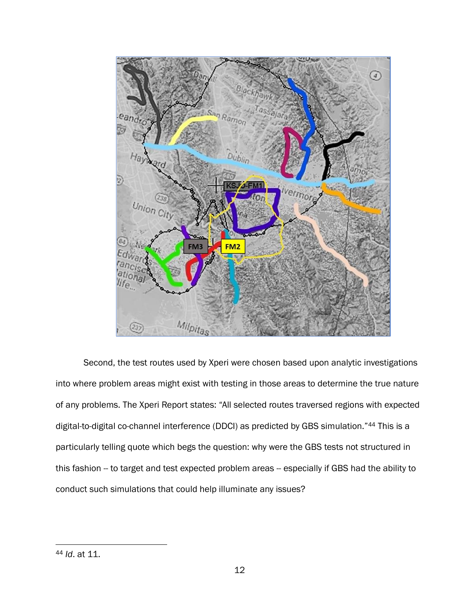

Second, the test routes used by Xperi were chosen based upon analytic investigations into where problem areas might exist with testing in those areas to determine the true nature of any problems. The Xperi Report states: "All selected routes traversed regions with expected digital-to-digital co-channel interference (DDCI) as predicted by GBS simulation."<sup>44</sup> This is a particularly telling quote which begs the question: why were the GBS tests not structured in this fashion -- to target and test expected problem areas -- especially if GBS had the ability to conduct such simulations that could help illuminate any issues?

<sup>44</sup> *Id*. at 11.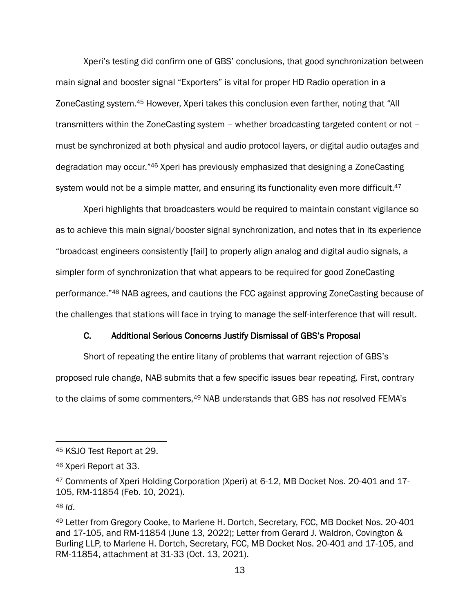Xperi's testing did confirm one of GBS' conclusions, that good synchronization between main signal and booster signal "Exporters" is vital for proper HD Radio operation in a ZoneCasting system.<sup>45</sup> However, Xperi takes this conclusion even farther, noting that "All transmitters within the ZoneCasting system – whether broadcasting targeted content or not – must be synchronized at both physical and audio protocol layers, or digital audio outages and degradation may occur."<sup>46</sup> Xperi has previously emphasized that designing a ZoneCasting system would not be a simple matter, and ensuring its functionality even more difficult. $47$ 

Xperi highlights that broadcasters would be required to maintain constant vigilance so as to achieve this main signal/booster signal synchronization, and notes that in its experience "broadcast engineers consistently [fail] to properly align analog and digital audio signals, a simpler form of synchronization that what appears to be required for good ZoneCasting performance."<sup>48</sup> NAB agrees, and cautions the FCC against approving ZoneCasting because of the challenges that stations will face in trying to manage the self-interference that will result.

### C. Additional Serious Concerns Justify Dismissal of GBS's Proposal

Short of repeating the entire litany of problems that warrant rejection of GBS's proposed rule change, NAB submits that a few specific issues bear repeating. First, contrary to the claims of some commenters,<sup>49</sup> NAB understands that GBS has *not* resolved FEMA's

<sup>48</sup> *Id*.

<sup>45</sup> KSJO Test Report at 29.

<sup>46</sup> Xperi Report at 33.

<sup>47</sup> Comments of Xperi Holding Corporation (Xperi) at 6-12, MB Docket Nos. 20-401 and 17- 105, RM-11854 (Feb. 10, 2021).

<sup>49</sup> Letter from Gregory Cooke, to Marlene H. Dortch, Secretary, FCC, MB Docket Nos. 20-401 and 17-105, and RM-11854 (June 13, 2022); Letter from Gerard J. Waldron, Covington & Burling LLP, to Marlene H. Dortch, Secretary, FCC, MB Docket Nos. 20-401 and 17-105, and RM-11854, attachment at 31-33 (Oct. 13, 2021).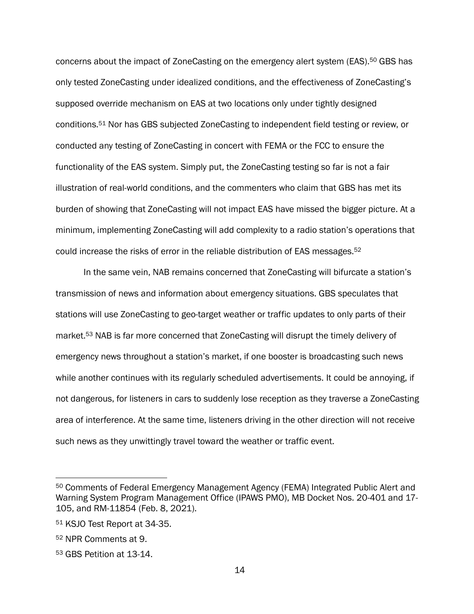concerns about the impact of ZoneCasting on the emergency alert system (EAS).<sup>50</sup> GBS has only tested ZoneCasting under idealized conditions, and the effectiveness of ZoneCasting's supposed override mechanism on EAS at two locations only under tightly designed conditions.<sup>51</sup> Nor has GBS subjected ZoneCasting to independent field testing or review, or conducted any testing of ZoneCasting in concert with FEMA or the FCC to ensure the functionality of the EAS system. Simply put, the ZoneCasting testing so far is not a fair illustration of real-world conditions, and the commenters who claim that GBS has met its burden of showing that ZoneCasting will not impact EAS have missed the bigger picture. At a minimum, implementing ZoneCasting will add complexity to a radio station's operations that could increase the risks of error in the reliable distribution of EAS messages.<sup>52</sup>

In the same vein, NAB remains concerned that ZoneCasting will bifurcate a station's transmission of news and information about emergency situations. GBS speculates that stations will use ZoneCasting to geo-target weather or traffic updates to only parts of their market. <sup>53</sup> NAB is far more concerned that ZoneCasting will disrupt the timely delivery of emergency news throughout a station's market, if one booster is broadcasting such news while another continues with its regularly scheduled advertisements. It could be annoying, if not dangerous, for listeners in cars to suddenly lose reception as they traverse a ZoneCasting area of interference. At the same time, listeners driving in the other direction will not receive such news as they unwittingly travel toward the weather or traffic event.

<sup>50</sup> Comments of Federal Emergency Management Agency (FEMA) Integrated Public Alert and Warning System Program Management Office (IPAWS PMO), MB Docket Nos. 20-401 and 17- 105, and RM-11854 (Feb. 8, 2021).

<sup>51</sup> KSJO Test Report at 34-35.

<sup>52</sup> NPR Comments at 9.

<sup>53</sup> GBS Petition at 13-14.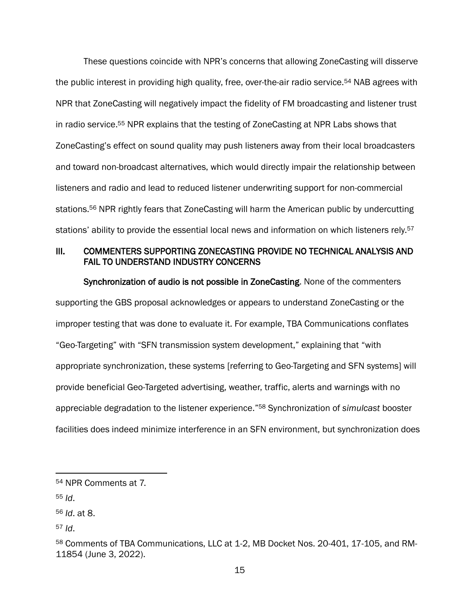These questions coincide with NPR's concerns that allowing ZoneCasting will disserve the public interest in providing high quality, free, over-the-air radio service.<sup>54</sup> NAB agrees with NPR that ZoneCasting will negatively impact the fidelity of FM broadcasting and listener trust in radio service.<sup>55</sup> NPR explains that the testing of ZoneCasting at NPR Labs shows that ZoneCasting's effect on sound quality may push listeners away from their local broadcasters and toward non-broadcast alternatives, which would directly impair the relationship between listeners and radio and lead to reduced listener underwriting support for non-commercial stations.<sup>56</sup> NPR rightly fears that ZoneCasting will harm the American public by undercutting stations' ability to provide the essential local news and information on which listeners rely.<sup>57</sup>

### III. COMMENTERS SUPPORTING ZONECASTING PROVIDE NO TECHNICAL ANALYSIS AND FAIL TO UNDERSTAND INDUSTRY CONCERNS

Synchronization of audio is not possible in ZoneCasting. None of the commenters supporting the GBS proposal acknowledges or appears to understand ZoneCasting or the improper testing that was done to evaluate it. For example, TBA Communications conflates "Geo-Targeting" with "SFN transmission system development," explaining that "with appropriate synchronization, these systems [referring to Geo-Targeting and SFN systems] will provide beneficial Geo-Targeted advertising, weather, traffic, alerts and warnings with no appreciable degradation to the listener experience." <sup>58</sup> Synchronization of *simulcast* booster facilities does indeed minimize interference in an SFN environment, but synchronization does

<sup>54</sup> NPR Comments at 7.

<sup>55</sup> *Id*.

<sup>56</sup> *Id*. at 8.

<sup>57</sup> *Id*.

<sup>58</sup> Comments of TBA Communications, LLC at 1-2, MB Docket Nos. 20-401, 17-105, and RM-11854 (June 3, 2022).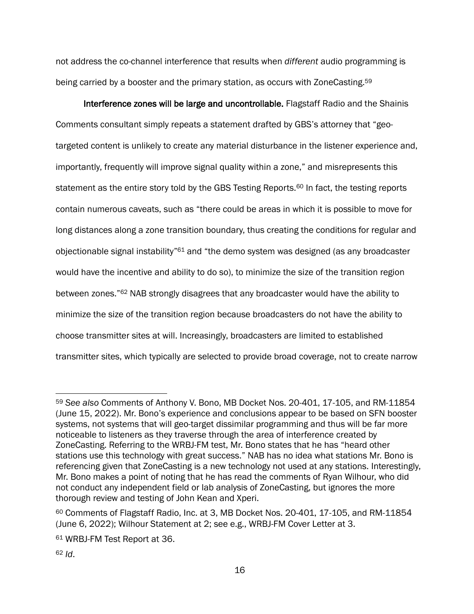not address the co-channel interference that results when *different* audio programming is being carried by a booster and the primary station, as occurs with ZoneCasting.<sup>59</sup>

Interference zones will be large and uncontrollable. Flagstaff Radio and the Shainis Comments consultant simply repeats a statement drafted by GBS's attorney that "geotargeted content is unlikely to create any material disturbance in the listener experience and, importantly, frequently will improve signal quality within a zone," and misrepresents this statement as the entire story told by the GBS Testing Reports.<sup>60</sup> In fact, the testing reports contain numerous caveats, such as "there could be areas in which it is possible to move for long distances along a zone transition boundary, thus creating the conditions for regular and objectionable signal instability"<sup>61</sup> and "the demo system was designed (as any broadcaster would have the incentive and ability to do so), to minimize the size of the transition region between zones."<sup>62</sup> NAB strongly disagrees that any broadcaster would have the ability to minimize the size of the transition region because broadcasters do not have the ability to choose transmitter sites at will. Increasingly, broadcasters are limited to established transmitter sites, which typically are selected to provide broad coverage, not to create narrow

<sup>59</sup> *See also* Comments of Anthony V. Bono, MB Docket Nos. 20-401, 17-105, and RM-11854 (June 15, 2022). Mr. Bono's experience and conclusions appear to be based on SFN booster systems, not systems that will geo-target dissimilar programming and thus will be far more noticeable to listeners as they traverse through the area of interference created by ZoneCasting. Referring to the WRBJ-FM test, Mr. Bono states that he has "heard other stations use this technology with great success." NAB has no idea what stations Mr. Bono is referencing given that ZoneCasting is a new technology not used at any stations. Interestingly, Mr. Bono makes a point of noting that he has read the comments of Ryan Wilhour, who did not conduct any independent field or lab analysis of ZoneCasting, but ignores the more thorough review and testing of John Kean and Xperi.

 $60$  Comments of Flagstaff Radio, Inc. at 3, MB Docket Nos. 20-401, 17-105, and RM-11854 (June 6, 2022); Wilhour Statement at 2; see e.g., WRBJ-FM Cover Letter at 3.

<sup>61</sup> WRBJ-FM Test Report at 36.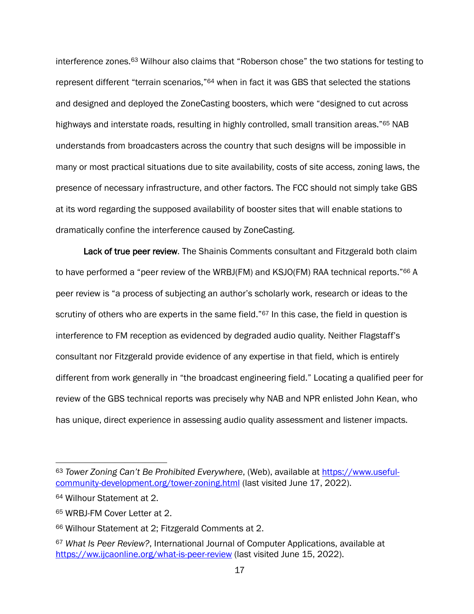interference zones. <sup>63</sup> Wilhour also claims that "Roberson chose" the two stations for testing to represent different "terrain scenarios,"<sup>64</sup> when in fact it was GBS that selected the stations and designed and deployed the ZoneCasting boosters, which were "designed to cut across highways and interstate roads, resulting in highly controlled, small transition areas."<sup>65</sup> NAB understands from broadcasters across the country that such designs will be impossible in many or most practical situations due to site availability, costs of site access, zoning laws, the presence of necessary infrastructure, and other factors. The FCC should not simply take GBS at its word regarding the supposed availability of booster sites that will enable stations to dramatically confine the interference caused by ZoneCasting.

Lack of true peer review. The Shainis Comments consultant and Fitzgerald both claim to have performed a "peer review of the WRBJ(FM) and KSJO(FM) RAA technical reports."<sup>66</sup> A peer review is "a process of subjecting an author's scholarly work, research or ideas to the scrutiny of others who are experts in the same field."<sup>67</sup> In this case, the field in question is interference to FM reception as evidenced by degraded audio quality. Neither Flagstaff's consultant nor Fitzgerald provide evidence of any expertise in that field, which is entirely different from work generally in "the broadcast engineering field." Locating a qualified peer for review of the GBS technical reports was precisely why NAB and NPR enlisted John Kean, who has unique, direct experience in assessing audio quality assessment and listener impacts.

<sup>63</sup> *Tower Zoning Can't Be Prohibited Everywhere*, (Web), available at [https://www.useful](https://www.useful-community-development.org/tower-zoning.html)[community-development.org/tower-zoning.html](https://www.useful-community-development.org/tower-zoning.html) (last visited June 17, 2022).

<sup>64</sup> Wilhour Statement at 2.

<sup>65</sup> WRBJ-FM Cover Letter at 2.

<sup>66</sup> Wilhour Statement at 2; Fitzgerald Comments at 2.

<sup>67</sup> *What Is Peer Review?*, International Journal of Computer Applications, available at <https://ww.ijcaonline.org/what-is-peer-review> (last visited June 15, 2022).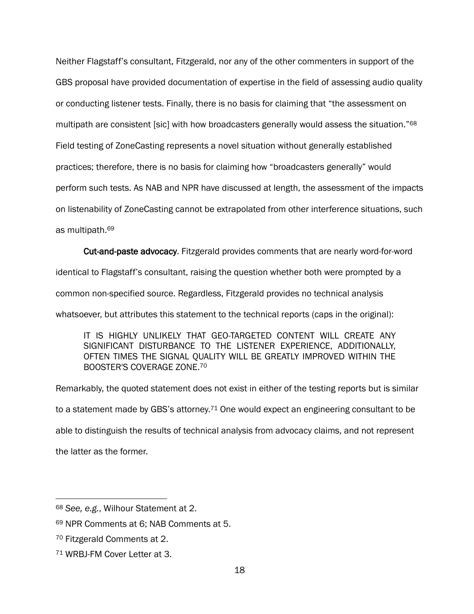Neither Flagstaff's consultant, Fitzgerald, nor any of the other commenters in support of the GBS proposal have provided documentation of expertise in the field of assessing audio quality or conducting listener tests. Finally, there is no basis for claiming that "the assessment on multipath are consistent [sic] with how broadcasters generally would assess the situation."<sup>68</sup> Field testing of ZoneCasting represents a novel situation without generally established practices; therefore, there is no basis for claiming how "broadcasters generally" would perform such tests. As NAB and NPR have discussed at length, the assessment of the impacts on listenability of ZoneCasting cannot be extrapolated from other interference situations, such as multipath.<sup>69</sup>

Cut-and-paste advocacy. Fitzgerald provides comments that are nearly word-for-word

identical to Flagstaff's consultant, raising the question whether both were prompted by a

common non-specified source. Regardless, Fitzgerald provides no technical analysis

whatsoever, but attributes this statement to the technical reports (caps in the original):

IT IS HIGHLY UNLIKELY THAT GEO-TARGETED CONTENT WILL CREATE ANY SIGNIFICANT DISTURBANCE TO THE LISTENER EXPERIENCE, ADDITIONALLY, OFTEN TIMES THE SIGNAL QUALITY WILL BE GREATLY IMPROVED WITHIN THE BOOSTER'S COVERAGE ZONE. 70

Remarkably, the quoted statement does not exist in either of the testing reports but is similar to a statement made by GBS's attorney.<sup>71</sup> One would expect an engineering consultant to be able to distinguish the results of technical analysis from advocacy claims, and not represent the latter as the former.

<sup>68</sup> *See, e.g.*, Wilhour Statement at 2.

<sup>69</sup> NPR Comments at 6; NAB Comments at 5.

<sup>70</sup> Fitzgerald Comments at 2.

<sup>71</sup> WRBJ-FM Cover Letter at 3.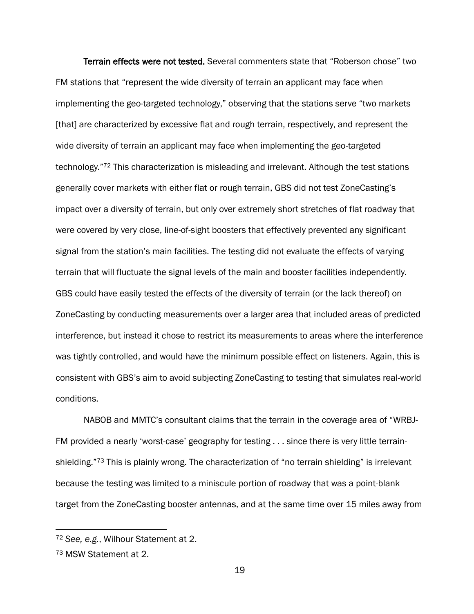Terrain effects were not tested. Several commenters state that "Roberson chose" two FM stations that "represent the wide diversity of terrain an applicant may face when implementing the geo-targeted technology," observing that the stations serve "two markets [that] are characterized by excessive flat and rough terrain, respectively, and represent the wide diversity of terrain an applicant may face when implementing the geo-targeted technology."<sup>72</sup> This characterization is misleading and irrelevant. Although the test stations generally cover markets with either flat or rough terrain, GBS did not test ZoneCasting's impact over a diversity of terrain, but only over extremely short stretches of flat roadway that were covered by very close, line-of-sight boosters that effectively prevented any significant signal from the station's main facilities. The testing did not evaluate the effects of varying terrain that will fluctuate the signal levels of the main and booster facilities independently. GBS could have easily tested the effects of the diversity of terrain (or the lack thereof) on ZoneCasting by conducting measurements over a larger area that included areas of predicted interference, but instead it chose to restrict its measurements to areas where the interference was tightly controlled, and would have the minimum possible effect on listeners. Again, this is consistent with GBS's aim to avoid subjecting ZoneCasting to testing that simulates real-world conditions.

NABOB and MMTC's consultant claims that the terrain in the coverage area of "WRBJ-FM provided a nearly 'worst-case' geography for testing . . . since there is very little terrainshielding."73 This is plainly wrong. The characterization of "no terrain shielding" is irrelevant because the testing was limited to a miniscule portion of roadway that was a point-blank target from the ZoneCasting booster antennas, and at the same time over 15 miles away from

<sup>72</sup> *See, e.g.*, Wilhour Statement at 2.

<sup>73</sup> MSW Statement at 2.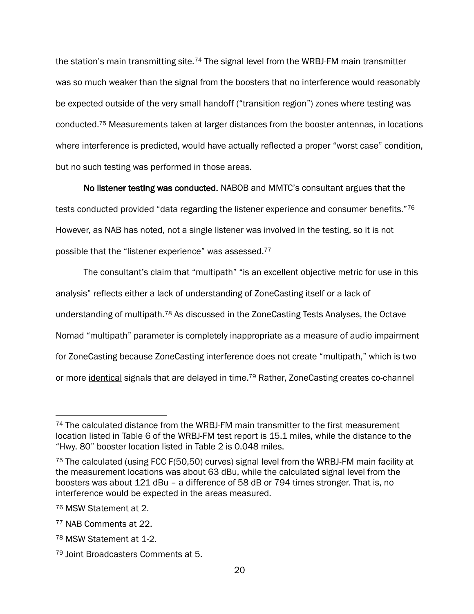the station's main transmitting site.<sup>74</sup> The signal level from the WRBJ-FM main transmitter was so much weaker than the signal from the boosters that no interference would reasonably be expected outside of the very small handoff ("transition region") zones where testing was conducted.<sup>75</sup> Measurements taken at larger distances from the booster antennas, in locations where interference is predicted, would have actually reflected a proper "worst case" condition, but no such testing was performed in those areas.

No listener testing was conducted. NABOB and MMTC's consultant argues that the tests conducted provided "data regarding the listener experience and consumer benefits."76 However, as NAB has noted, not a single listener was involved in the testing, so it is not possible that the "listener experience" was assessed.<sup>77</sup>

The consultant's claim that "multipath" "is an excellent objective metric for use in this analysis" reflects either a lack of understanding of ZoneCasting itself or a lack of understanding of multipath.<sup>78</sup> As discussed in the ZoneCasting Tests Analyses, the Octave Nomad "multipath" parameter is completely inappropriate as a measure of audio impairment for ZoneCasting because ZoneCasting interference does not create "multipath," which is two or more *identical* signals that are delayed in time.<sup>79</sup> Rather, ZoneCasting creates co-channel

<sup>&</sup>lt;sup>74</sup> The calculated distance from the WRBJ-FM main transmitter to the first measurement location listed in Table 6 of the WRBJ-FM test report is 15.1 miles, while the distance to the "Hwy. 80" booster location listed in Table 2 is 0.048 miles.

<sup>&</sup>lt;sup>75</sup> The calculated (using FCC F(50,50) curves) signal level from the WRBJ-FM main facility at the measurement locations was about 63 dBu, while the calculated signal level from the boosters was about 121 dBu – a difference of 58 dB or 794 times stronger. That is, no interference would be expected in the areas measured.

<sup>76</sup> MSW Statement at 2.

<sup>77</sup> NAB Comments at 22.

<sup>78</sup> MSW Statement at 1-2.

<sup>79</sup> Joint Broadcasters Comments at 5.